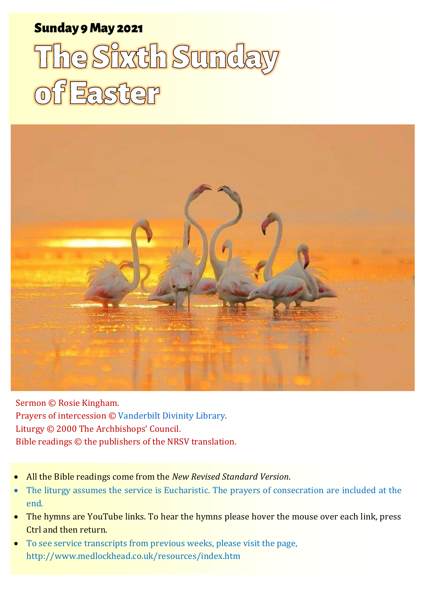# Sunday 9 May 2021

# The Sixth Sunday of Easter



Sermon © Rosie Kingham. Prayers of intercession © [Vanderbilt Divinity Library.](https://lectionary.library.vanderbilt.edu/prayers.php?id=91) Liturgy © 2000 The Archbishops' Council. Bible readings © the publishers of the NRSV translation.

- All the Bible readings come from the *New Revised Standard Version*.
- The liturgy assumes the service is Eucharistic. The prayers of consecration are included at the end.
- The hymns are YouTube links. To hear the hymns please hover the mouse over each link, press Ctrl and then return.
- To see service transcripts from previous weeks, please visit the page, <http://www.medlockhead.co.uk/resources/index.htm>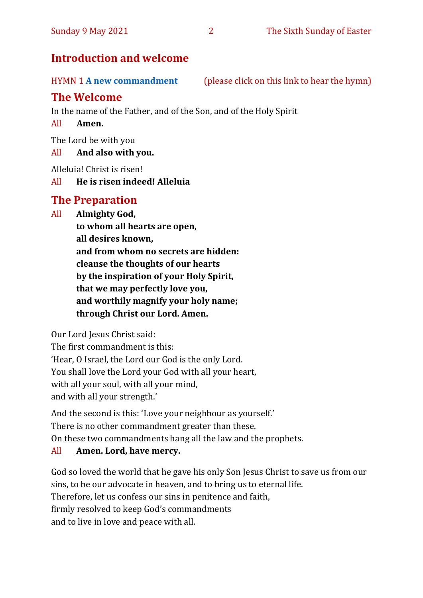# **Introduction and welcome**

HYMN 1 **[A new commandment](https://www.youtube.com/watch?v=mvDJQeyLkyk)** (please click on this link to hear the hymn)

# **The Welcome**

In the name of the Father, and of the Son, and of the Holy Spirit

#### All **Amen.**

The Lord be with you

#### All **And also with you.**

Alleluia! Christ is risen!

All **He is risen indeed! Alleluia**

# **The Preparation**

All **Almighty God,**

**to whom all hearts are open, all desires known, and from whom no secrets are hidden: cleanse the thoughts of our hearts by the inspiration of your Holy Spirit, that we may perfectly love you, and worthily magnify your holy name; through Christ our Lord. Amen.**

Our Lord Jesus Christ said:

The first commandment is this: 'Hear, O Israel, the Lord our God is the only Lord. You shall love the Lord your God with all your heart, with all your soul, with all your mind, and with all your strength.'

And the second is this: 'Love your neighbour as yourself.' There is no other commandment greater than these. On these two commandments hang all the law and the prophets.

# All **Amen. Lord, have mercy.**

God so loved the world that he gave his only Son Jesus Christ to save us from our sins, to be our advocate in heaven, and to bring us to eternal life. Therefore, let us confess our sins in penitence and faith, firmly resolved to keep God's commandments and to live in love and peace with all.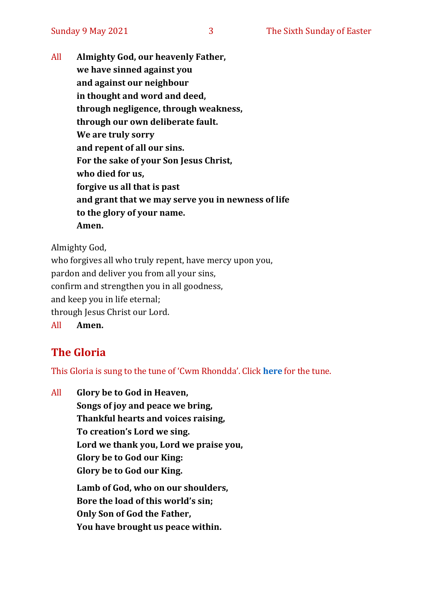All **Almighty God, our heavenly Father, we have sinned against you and against our neighbour in thought and word and deed, through negligence, through weakness, through our own deliberate fault. We are truly sorry and repent of all our sins. For the sake of your Son Jesus Christ, who died for us, forgive us all that is past and grant that we may serve you in newness of life to the glory of your name. Amen.**

Almighty God,

who forgives all who truly repent, have mercy upon you, pardon and deliver you from all your sins, confirm and strengthen you in all goodness, and keep you in life eternal; through Jesus Christ our Lord. All **Amen.**

# **The Gloria**

This Gloria is sung to the tune of 'Cwm Rhondda'. Click **[here](about:blank)** for the tune.

All **Glory be to God in Heaven, Songs of joy and peace we bring, Thankful hearts and voices raising, To creation's Lord we sing. Lord we thank you, Lord we praise you, Glory be to God our King: Glory be to God our King. Lamb of God, who on our shoulders, Bore the load of this world's sin; Only Son of God the Father, You have brought us peace within.**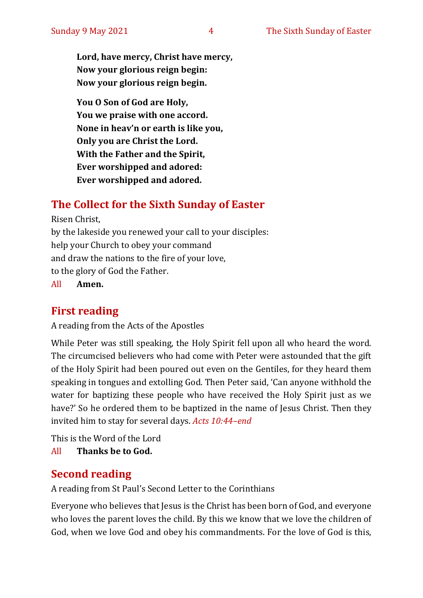**Lord, have mercy, Christ have mercy, Now your glorious reign begin: Now your glorious reign begin.**

**You O Son of God are Holy, You we praise with one accord. None in heav'n or earth is like you, Only you are Christ the Lord. With the Father and the Spirit, Ever worshipped and adored: Ever worshipped and adored.**

# **The Collect for the Sixth Sunday of Easter**

Risen Christ, by the lakeside you renewed your call to your disciples: help your Church to obey your command and draw the nations to the fire of your love, to the glory of God the Father.

All **Amen.**

# **First reading**

A reading from the Acts of the Apostles

While Peter was still speaking, the Holy Spirit fell upon all who heard the word. The circumcised believers who had come with Peter were astounded that the gift of the Holy Spirit had been poured out even on the Gentiles, for they heard them speaking in tongues and extolling God. Then Peter said, 'Can anyone withhold the water for baptizing these people who have received the Holy Spirit just as we have?' So he ordered them to be baptized in the name of Jesus Christ. Then they invited him to stay for several days. *Acts 10:44–end* 

This is the Word of the Lord

All **Thanks be to God.**

# **Second reading**

A reading from St Paul's Second Letter to the Corinthians

Everyone who believes that Jesus is the Christ has been born of God, and everyone who loves the parent loves the child. By this we know that we love the children of God, when we love God and obey his commandments. For the love of God is this,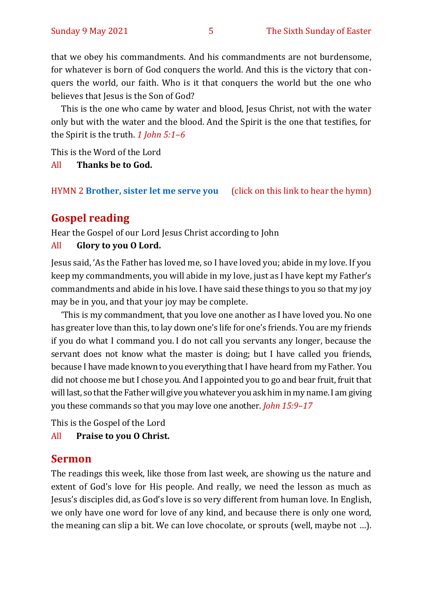that we obey his commandments. And his commandments are not burdensome, for whatever is born of God conquers the world. And this is the victory that conquers the world, our faith. Who is it that conquers the world but the one who believes that Jesus is the Son of God?

This is the one who came by water and blood, Jesus Christ, not with the water only but with the water and the blood. And the Spirit is the one that testifies, for the Spirit is the truth. *1 John 5:1–6*

This is the Word of the Lord

All **Thanks be to God.**

HYMN 2 **[Brother, sister let me serve you](https://www.youtube.com/watch?v=hlNoxoOocZs)** (click on this link to hear the hymn)

# **Gospel reading**

Hear the Gospel of our Lord Jesus Christ according to John

#### All **Glory to you O Lord.**

Jesus said, 'As the Father has loved me, so I have loved you; abide in my love. If you keep my commandments, you will abide in my love, just as I have kept my Father's commandments and abide in his love.I have said these things to you so that my joy may be in you, and that your joy may be complete.

'This is my commandment, that you love one another as I have loved you. No one has greater love than this, to lay down one's life for one's friends. You are my friends if you do what I command you. I do not call you servants any longer, because the servant does not know what the master is doing; but I have called you friends, because I have made known to you everything that I have heard from my Father. You did not choose me but I chose you. And I appointed you to go and bear fruit, fruit that will last, so that the Father will give you whatever you ask him in my name. I am giving you these commands so that you may love one another. *John 15:9–17*

This is the Gospel of the Lord

All **Praise to you O Christ.** 

#### **Sermon**

The readings this week, like those from last week, are showing us the nature and extent of God's love for His people. And really, we need the lesson as much as Jesus's disciples did, as God's love is so very different from human love. In English, we only have one word for love of any kind, and because there is only one word, the meaning can slip a bit. We can love chocolate, or sprouts (well, maybe not …).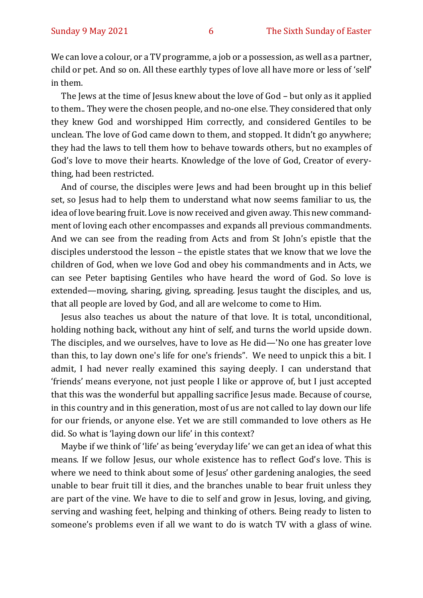We can love a colour, or a TV programme, a job or a possession, as well as a partner, child or pet. And so on. All these earthly types of love all have more or less of 'self' in them.

The Jews at the time of Jesus knew about the love of God – but only as it applied to them.. They were the chosen people, and no-one else. They considered that only they knew God and worshipped Him correctly, and considered Gentiles to be unclean. The love of God came down to them, and stopped. It didn't go anywhere; they had the laws to tell them how to behave towards others, but no examples of God's love to move their hearts. Knowledge of the love of God, Creator of everything, had been restricted.

And of course, the disciples were Jews and had been brought up in this belief set, so Jesus had to help them to understand what now seems familiar to us, the idea of love bearing fruit. Love is now received and given away. This new commandment of loving each other encompasses and expands all previous commandments. And we can see from the reading from Acts and from St John's epistle that the disciples understood the lesson – the epistle states that we know that we love the children of God, when we love God and obey his commandments and in Acts, we can see Peter baptising Gentiles who have heard the word of God. So love is extended—moving, sharing, giving, spreading. Jesus taught the disciples, and us, that all people are loved by God, and all are welcome to come to Him.

Jesus also teaches us about the nature of that love. It is total, unconditional, holding nothing back, without any hint of self, and turns the world upside down. The disciples, and we ourselves, have to love as He did—'No one has greater love than this, to lay down one's life for one's friends". We need to unpick this a bit. I admit, I had never really examined this saying deeply. I can understand that 'friends' means everyone, not just people I like or approve of, but I just accepted that this was the wonderful but appalling sacrifice Jesus made. Because of course, in this country and in this generation, most of us are not called to lay down our life for our friends, or anyone else. Yet we are still commanded to love others as He did. So what is 'laying down our life' in this context?

Maybe if we think of 'life' as being 'everyday life' we can get an idea of what this means. If we follow Jesus, our whole existence has to reflect God's love. This is where we need to think about some of Jesus' other gardening analogies, the seed unable to bear fruit till it dies, and the branches unable to bear fruit unless they are part of the vine. We have to die to self and grow in Jesus, loving, and giving, serving and washing feet, helping and thinking of others. Being ready to listen to someone's problems even if all we want to do is watch TV with a glass of wine.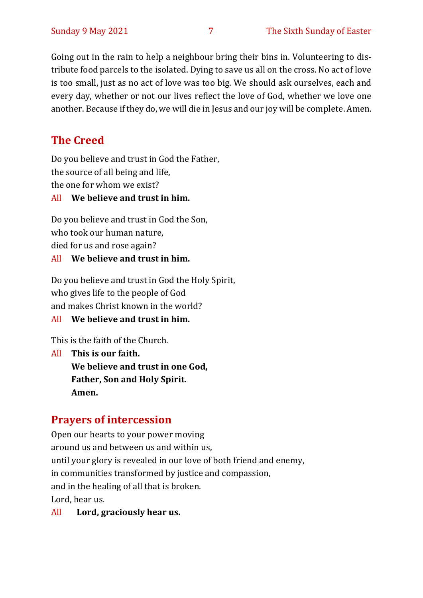Going out in the rain to help a neighbour bring their bins in. Volunteering to distribute food parcels to the isolated. Dying to save us all on the cross. No act of love is too small, just as no act of love was too big. We should ask ourselves, each and every day, whether or not our lives reflect the love of God, whether we love one another. Because if they do, we will die in Jesus and our joy will be complete. Amen.

# **The Creed**

Do you believe and trust in God the Father, the source of all being and life, the one for whom we exist?

#### All **We believe and trust in him.**

Do you believe and trust in God the Son, who took our human nature, died for us and rose again?

#### All **We believe and trust in him.**

Do you believe and trust in God the Holy Spirit, who gives life to the people of God and makes Christ known in the world?

#### All **We believe and trust in him.**

This is the faith of the Church.

All **This is our faith. We believe and trust in one God, Father, Son and Holy Spirit. Amen.**

# **Prayers of intercession**

Open our hearts to your power moving around us and between us and within us, until your glory is revealed in our love of both friend and enemy, in communities transformed by justice and compassion, and in the healing of all that is broken. Lord, hear us.

All **Lord, graciously hear us.**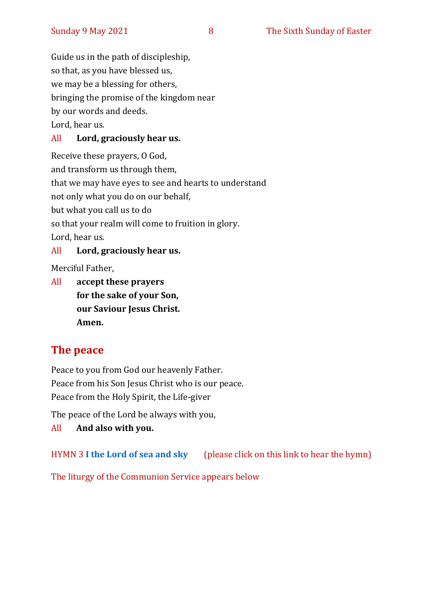Guide us in the path of discipleship, so that, as you have blessed us, we may be a blessing for others, bringing the promise of the kingdom near by our words and deeds. Lord, hear us.

#### All **Lord, graciously hear us.**

Receive these prayers, O God, and transform us through them, that we may have eyes to see and hearts to understand not only what you do on our behalf, but what you call us to do so that your realm will come to fruition in glory. Lord, hear us.

#### All **Lord, graciously hear us.**

Merciful Father,

All **accept these prayers for the sake of your Son, our Saviour Jesus Christ. Amen.**

# **The peace**

Peace to you from God our heavenly Father. Peace from his Son Jesus Christ who is our peace. Peace from the Holy Spirit, the Life-giver

The peace of the Lord be always with you,

All **And also with you.**

HYMN 3 **[I the Lord of sea and sky](https://www.youtube.com/watch?v=cGNYDcqdl8g)** (please click on this link to hear the hymn)

The liturgy of the Communion Service appears below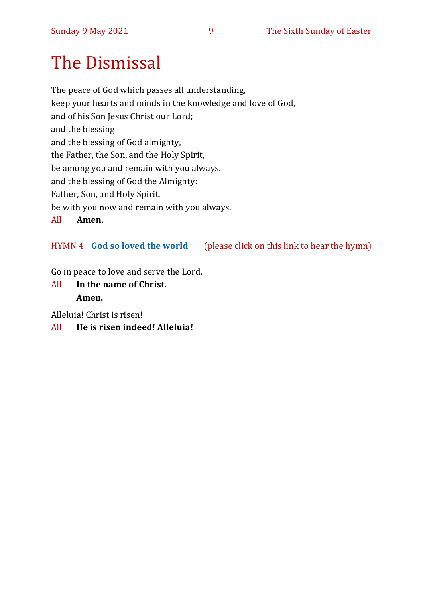# The Dismissal

The peace of God which passes all understanding, keep your hearts and minds in the knowledge and love of God, and of his Son Jesus Christ our Lord; and the blessing and the blessing of God almighty, the Father, the Son, and the Holy Spirit, be among you and remain with you always. and the blessing of God the Almighty: Father, Son, and Holy Spirit, be with you now and remain with you always.

All **Amen.**

#### HYMN 4 **[God so loved the world](https://www.youtube.com/watch?v=X5Akz6J8Rw0)** (please click on this link to hear the hymn)

Go in peace to love and serve the Lord.

All **In the name of Christ. Amen.**

Alleluia! Christ is risen!

All **He is risen indeed! Alleluia!**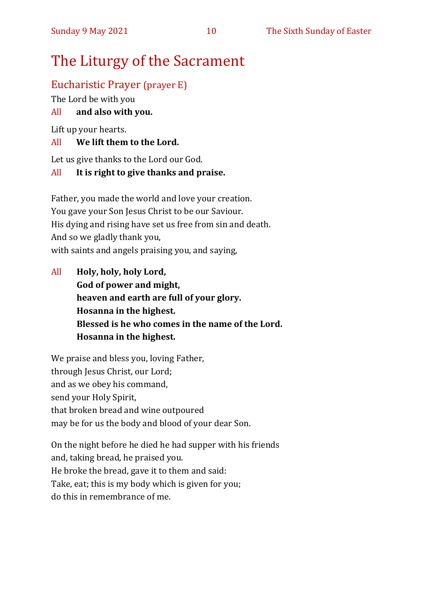# The Liturgy of the Sacrament

# Eucharistic Prayer (prayer E)

The Lord be with you

#### All **and also with you.**

Lift up your hearts.

#### All **We lift them to the Lord.**

Let us give thanks to the Lord our God.

#### All **It is right to give thanks and praise.**

Father, you made the world and love your creation. You gave your Son Jesus Christ to be our Saviour. His dying and rising have set us free from sin and death. And so we gladly thank you, with saints and angels praising you, and saying,

All **Holy, holy, holy Lord, God of power and might, heaven and earth are full of your glory. Hosanna in the highest. Blessed is he who comes in the name of the Lord. Hosanna in the highest.**

We praise and bless you, loving Father, through Jesus Christ, our Lord; and as we obey his command, send your Holy Spirit, that broken bread and wine outpoured may be for us the body and blood of your dear Son.

On the night before he died he had supper with his friends and, taking bread, he praised you. He broke the bread, gave it to them and said: Take, eat; this is my body which is given for you; do this in remembrance of me.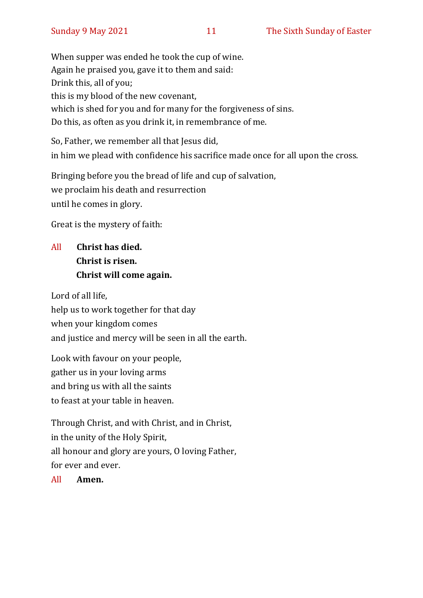When supper was ended he took the cup of wine. Again he praised you, gave it to them and said: Drink this, all of you; this is my blood of the new covenant, which is shed for you and for many for the forgiveness of sins. Do this, as often as you drink it, in remembrance of me.

So, Father, we remember all that Jesus did, in him we plead with confidence his sacrifice made once for all upon the cross.

Bringing before you the bread of life and cup of salvation, we proclaim his death and resurrection until he comes in glory.

Great is the mystery of faith:

# All **Christ has died. Christ is risen. Christ will come again.**

Lord of all life, help us to work together for that day when your kingdom comes and justice and mercy will be seen in all the earth.

Look with favour on your people, gather us in your loving arms and bring us with all the saints to feast at your table in heaven.

Through Christ, and with Christ, and in Christ, in the unity of the Holy Spirit, all honour and glory are yours, O loving Father, for ever and ever.

All **Amen.**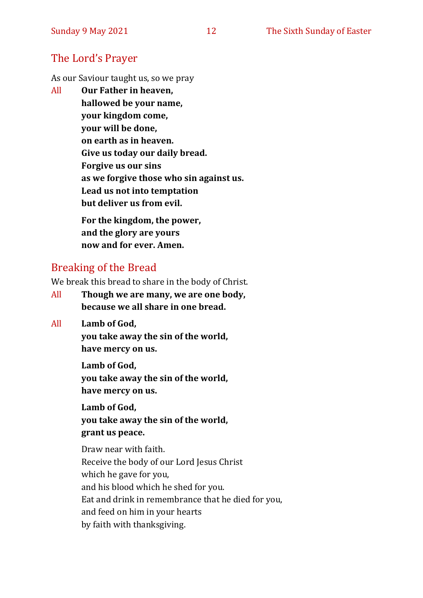### The Lord's Prayer

As our Saviour taught us, so we pray

All **Our Father in heaven, hallowed be your name, your kingdom come, your will be done, on earth as in heaven. Give us today our daily bread. Forgive us our sins as we forgive those who sin against us. Lead us not into temptation but deliver us from evil. For the kingdom, the power,** 

**and the glory are yours now and for ever. Amen.**

# Breaking of the Bread

We break this bread to share in the body of Christ.

- All **Though we are many, we are one body, because we all share in one bread.**
- All **Lamb of God,**

**you take away the sin of the world, have mercy on us.**

**Lamb of God, you take away the sin of the world, have mercy on us.**

**Lamb of God, you take away the sin of the world, grant us peace.**

Draw near with faith. Receive the body of our Lord Jesus Christ which he gave for you, and his blood which he shed for you. Eat and drink in remembrance that he died for you, and feed on him in your hearts by faith with thanksgiving.